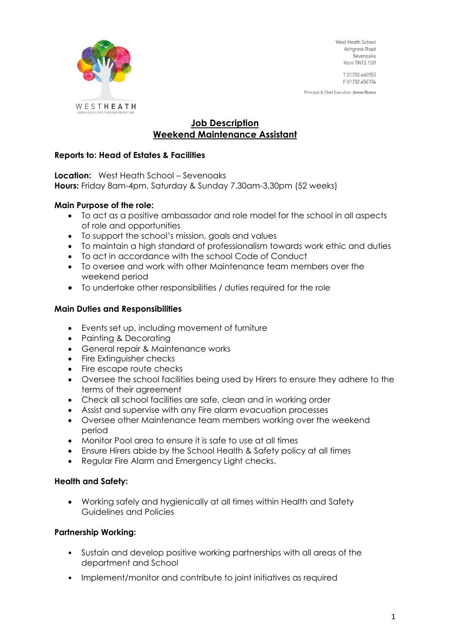

West Heath School Ashgrove Road Sevenoaks Kent TN13 1SR

T 01732 460553 F01732456734

Principal & Chief Executive: James Nunns

# **Job Description Weekend Maintenance Assistant**

# **Reports to: Head of Estates & Facilities**

**Location:** West Heath School – Sevenoaks **Hours:** Friday 8am-4pm, Saturday & Sunday 7.30am-3.30pm (52 weeks)

# **Main Purpose of the role:**

- To act as a positive ambassador and role model for the school in all aspects of role and opportunities
- To support the school's mission, goals and values
- To maintain a high standard of professionalism towards work ethic and duties
- To act in accordance with the school Code of Conduct
- To oversee and work with other Maintenance team members over the weekend period
- To undertake other responsibilities / duties required for the role

# **Main Duties and Responsibilities**

- Events set up, including movement of furniture
- Painting & Decorating
- General repair & Maintenance works
- Fire Extinguisher checks
- Fire escape route checks
- Oversee the school facilities being used by Hirers to ensure they adhere to the terms of their agreement
- Check all school facilities are safe, clean and in working order
- Assist and supervise with any Fire alarm evacuation processes
- Oversee other Maintenance team members working over the weekend period
- Monitor Pool area to ensure it is safe to use at all times
- Ensure Hirers abide by the School Health & Safety policy at all times
- Regular Fire Alarm and Emergency Light checks.

## **Health and Safety:**

• Working safely and hygienically at all times within Health and Safety Guidelines and Policies

## **Partnership Working:**

- Sustain and develop positive working partnerships with all areas of the department and School
- Implement/monitor and contribute to joint initiatives as required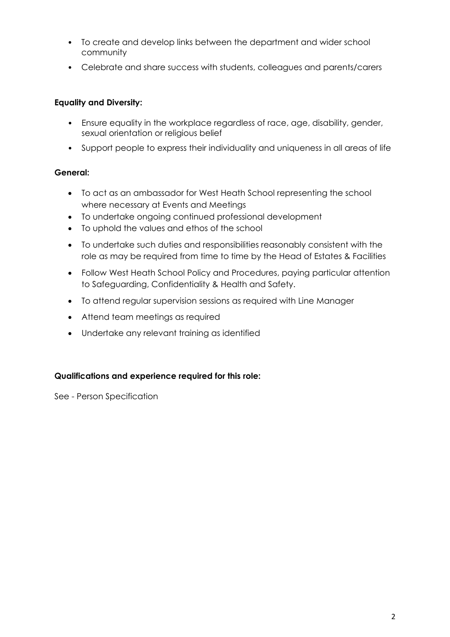- To create and develop links between the department and wider school community
- Celebrate and share success with students, colleagues and parents/carers

# **Equality and Diversity:**

- Ensure equality in the workplace regardless of race, age, disability, gender, sexual orientation or religious belief
- Support people to express their individuality and uniqueness in all areas of life

# **General:**

- To act as an ambassador for West Heath School representing the school where necessary at Events and Meetings
- To undertake ongoing continued professional development
- To uphold the values and ethos of the school
- To undertake such duties and responsibilities reasonably consistent with the role as may be required from time to time by the Head of Estates & Facilities
- Follow West Heath School Policy and Procedures, paying particular attention to Safeguarding, Confidentiality & Health and Safety.
- To attend regular supervision sessions as required with Line Manager
- Attend team meetings as required
- Undertake any relevant training as identified

## **Qualifications and experience required for this role:**

See - Person Specification